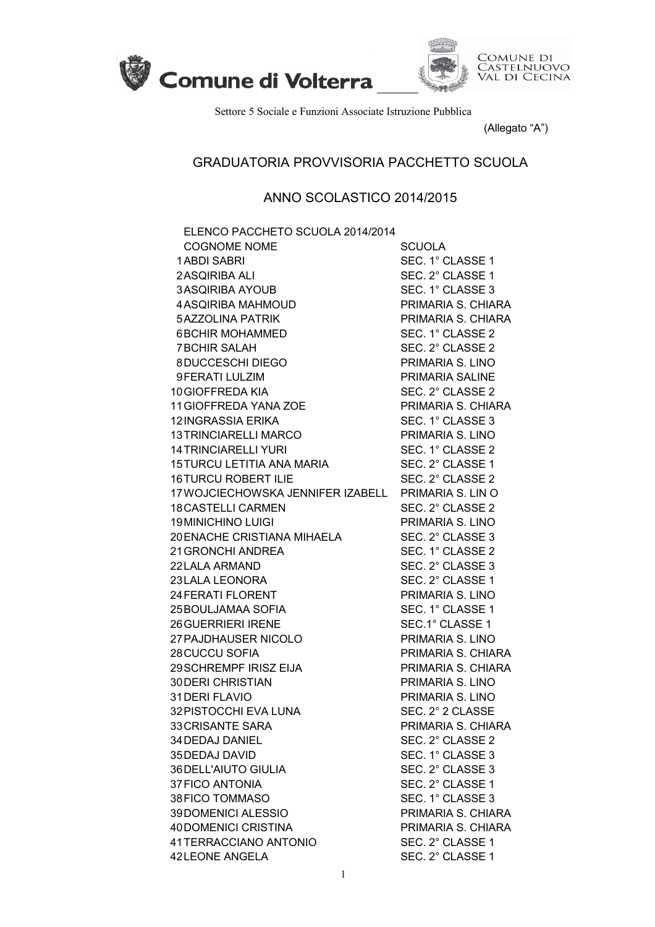



Settore 5 Sociale e Funzioni Associate Istruzione Pubblica

(Allegato "A")

## GRADUATORIA PROVVISORIA PACCHETTO SCUOLA

## ANNO SCOLASTICO 2014/2015

| ELENCO PACCHETO SCUOLA 2014/2014                    |                    |
|-----------------------------------------------------|--------------------|
| <b>COGNOME NOME</b>                                 | <b>SCUOLA</b>      |
| <b>1ABDI SABRI</b>                                  | SEC. 1° CLASSE 1   |
| 2 ASQIRIBA ALI                                      | SEC. 2° CLASSE 1   |
| <b>3ASQIRIBA AYOUB</b>                              | SEC. 1° CLASSE 3   |
| <b>4ASQIRIBA MAHMOUD</b>                            | PRIMARIA S. CHIARA |
| <b>5AZZOLINA PATRIK</b>                             | PRIMARIA S. CHIARA |
| <b>6BCHIR MOHAMMED</b>                              | SEC. 1° CLASSE 2   |
| <b>7BCHIR SALAH</b>                                 | SEC. 2° CLASSE 2   |
| 8DUCCESCHI DIEGO                                    | PRIMARIA S. LINO   |
| 9 FERATI LULZIM                                     | PRIMARIA SALINE    |
| 10 GIOFFREDA KIA                                    | SEC. 2° CLASSE 2   |
| 11 GIOFFREDA YANA ZOE                               | PRIMARIA S. CHIARA |
| <b>12INGRASSIA ERIKA</b>                            | SEC. 1° CLASSE 3   |
| <b>13 TRINCIARELLI MARCO</b>                        | PRIMARIA S. LINO   |
| <b>14 TRINCIARELLI YURI</b>                         | SEC. 1° CLASSE 2   |
| 15 TURCU LETITIA ANA MARIA                          | SEC. 2° CLASSE 1   |
| <b>16TURCU ROBERT ILIE</b>                          | SEC. 2° CLASSE 2   |
| 17 WOJCIECHOWSKA JENNIFER IZABELL PRIMARIA S. LIN O |                    |
| <b>18 CASTELLI CARMEN</b>                           | SEC. 2° CLASSE 2   |
| <b>19 MINICHINO LUIGI</b>                           | PRIMARIA S. LINO   |
| 20 ENACHE CRISTIANA MIHAELA                         | SEC. 2° CLASSE 3   |
| 21 GRONCHI ANDREA                                   | SEC. 1° CLASSE 2   |
| 22 LALA ARMAND                                      | SEC. 2° CLASSE 3   |
| 23 LALA LEONORA                                     | SEC. 2° CLASSE 1   |
| <b>24 FERATI FLORENT</b>                            | PRIMARIA S. LINO   |
| 25 BOULJAMAA SOFIA                                  | SEC. 1° CLASSE 1   |
| <b>26 GUERRIERI IRENE</b>                           | SEC.1° CLASSE 1    |
| 27 PAJDHAUSER NICOLO                                | PRIMARIA S. LINO   |
| <b>28CUCCU SOFIA</b>                                | PRIMARIA S. CHIARA |
| 29 SCHREMPF IRISZ EIJA                              | PRIMARIA S. CHIARA |
| <b>30 DERI CHRISTIAN</b>                            | PRIMARIA S. LINO   |
| 31 DERI FLAVIO                                      | PRIMARIA S. LINO   |
| 32 PISTOCCHI EVA LUNA                               | SEC. 2° 2 CLASSE   |
| 33 CRISANTE SARA                                    | PRIMARIA S. CHIARA |
| 34 DEDAJ DANIEL                                     | SEC. 2° CLASSE 2   |
| 35 DEDAJ DAVID                                      | SEC. 1° CLASSE 3   |
| 36 DELL'AIUTO GIULIA                                | SEC. 2° CLASSE 3   |
| <b>37 FICO ANTONIA</b>                              | SEC. 2° CLASSE 1   |
| 38 FICO TOMMASO                                     | SEC. 1° CLASSE 3   |
| 39DOMENICI ALESSIO                                  | PRIMARIA S. CHIARA |
| 40 DOMENICI CRISTINA                                | PRIMARIA S. CHIARA |
| 41 TERRACCIANO ANTONIO                              | SEC. 2° CLASSE 1   |
| 42LEONE ANGELA                                      | SEC. 2° CLASSE 1   |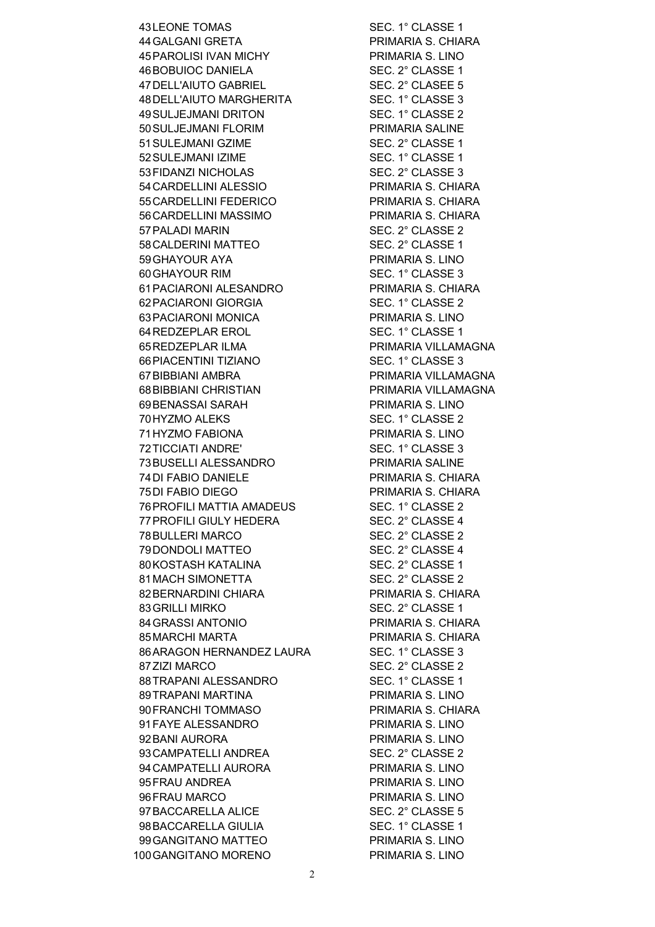43 LEONE TOMAS SEC. 1° CLASSE 1 44 GALGANI GRETA PRIMARIA S. CHIARA 45PAROLISI IVAN MICHY PRIMARIA S. LINO 46BOBUIOC DANIELA SEC. 2° CLASSE 1 47 DELL'AIUTO GABRIEL SEC. 2° CLASEE 5 48 DELL'AIUTO MARGHERITA SEC. 1° CLASSE 3 49SULJEJMANI DRITON SEC. 1° CLASSE 2 50SULJEJMANI FLORIM PRIMARIA SALINE 51 SULEJMANI GZIME SEC. 2° CLASSE 1 52 SULEJMANI IZIME SEC. 1° CLASSE 1 53FIDANZI NICHOLAS SEC. 2° CLASSE 3 54CARDELLINI ALESSIO PRIMARIA S. CHIARA 55CARDELLINI FEDERICO PRIMARIA S. CHIARA 56CARDELLINI MASSIMO PRIMARIA S. CHIARA 57PALADI MARIN SEC. 2° CLASSE 2 58CALDERINI MATTEO SEC. 2° CLASSE 1 59GHAYOUR AYA PRIMARIA S. LINO 60 GHAYOUR RIM SEC. 1° CLASSE 3 61PACIARONI ALESANDRO PRIMARIA S. CHIARA 62PACIARONI GIORGIA SEC. 1° CLASSE 2 63PACIARONI MONICA PRIMARIA S. LINO 64 REDZEPLAR EROL SEC. 1° CLASSE 1 65REDZEPLAR ILMA PRIMARIA VILLAMAGNA 66PIACENTINI TIZIANO SEC. 1° CLASSE 3 67 BIBBIANI AMBRA PRIMARIA VILLAMAGNA 68BIBBIANI CHRISTIAN PRIMARIA VILLAMAGNA 69BENASSAI SARAH PRIMARIA S. LINO 70 HYZMO ALEKS SEC. 1° CLASSE 2 71HYZMO FABIONA PRIMARIA S. LINO 72TICCIATI ANDRE' SEC. 1° CLASSE 3 73BUSELLI ALESSANDRO PRIMARIA SALINE 74DI FABIO DANIELE PRIMARIA S. CHIARA 75DI FABIO DIEGO PRIMARIA S. CHIARA 76PROFILI MATTIA AMADEUS SEC. 1° CLASSE 2 77 PROFILI GIULY HEDERA SEC. 2° CLASSE 4 78 BULLERI MARCO SEC. 2° CLASSE 2 79DONDOLI MATTEO SEC. 2° CLASSE 4 80 KOSTASH KATALINA SEC. 2° CLASSE 1 81MACH SIMONETTA SEC. 2° CLASSE 2 82 BERNARDINI CHIARA PRIMARIA S. CHIARA 83 GRILLI MIRKO SEC. 2° CLASSE 1 84GRASSI ANTONIO PRIMARIA S. CHIARA 85MARCHI MARTA PRIMARIA S. CHIARA 86ARAGON HERNANDEZ LAURA SEC. 1° CLASSE 3 87 ZIZI MARCO SEC. 2° CLASSE 2 88TRAPANI ALESSANDRO SEC. 1° CLASSE 1 89TRAPANI MARTINA PRIMARIA S. LINO 90FRANCHI TOMMASO PRIMARIA S. CHIARA 91 FAYE ALESSANDRO PRIMARIA S. LINO 92 BANI AURORA PRIMARIA S. LINO 93 CAMPATELLI ANDREA SEC. 2° CLASSE 2 94 CAMPATELLI AURORA PRIMARIA S. LINO 95 FRAU ANDREA PRIMARIA S. LINO 96 FRAU MARCO PRIMARIA S. LINO 97 BACCARELLA ALICE SEC. 2° CLASSE 5 98BACCARELLA GIULIA SEC. 1° CLASSE 1 99GANGITANO MATTEO PRIMARIA S. LINO 100GANGITANO MORENO PRIMARIA S. LINO